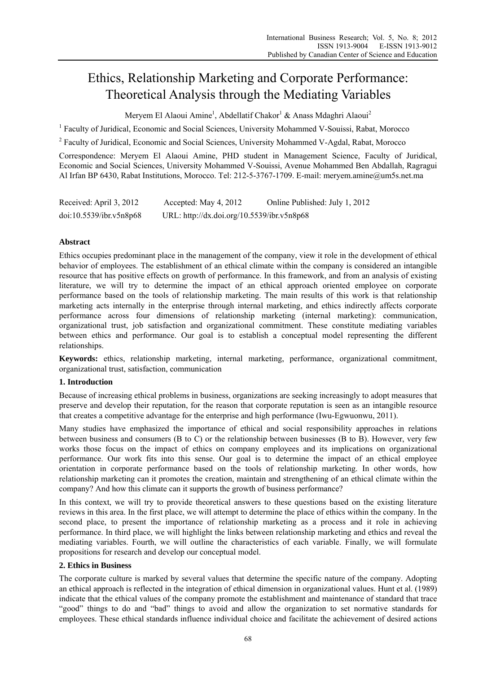# Ethics, Relationship Marketing and Corporate Performance: Theoretical Analysis through the Mediating Variables

Meryem El Alaoui Amine<sup>1</sup>, Abdellatif Chakor<sup>1</sup> & Anass Mdaghri Alaoui<sup>2</sup>

<sup>1</sup> Faculty of Juridical, Economic and Social Sciences, University Mohammed V-Souissi, Rabat, Morocco

<sup>2</sup> Faculty of Juridical, Economic and Social Sciences, University Mohammed V-Agdal, Rabat, Morocco

Correspondence: Meryem El Alaoui Amine, PHD student in Management Science, Faculty of Juridical, Economic and Social Sciences, University Mohammed V-Souissi, Avenue Mohammed Ben Abdallah, Ragragui Al Irfan BP 6430, Rabat Institutions, Morocco. Tel: 212-5-3767-1709. E-mail: meryem.amine@um5s.net.ma

| Received: April 3, 2012 | Accepted: May 4, 2012                      | Online Published: July 1, 2012 |
|-------------------------|--------------------------------------------|--------------------------------|
| doi:10.5539/ibr.v5n8p68 | URL: http://dx.doi.org/10.5539/ibr.v5n8p68 |                                |

#### **Abstract**

Ethics occupies predominant place in the management of the company, view it role in the development of ethical behavior of employees. The establishment of an ethical climate within the company is considered an intangible resource that has positive effects on growth of performance. In this framework, and from an analysis of existing literature, we will try to determine the impact of an ethical approach oriented employee on corporate performance based on the tools of relationship marketing. The main results of this work is that relationship marketing acts internally in the enterprise through internal marketing, and ethics indirectly affects corporate performance across four dimensions of relationship marketing (internal marketing): communication, organizational trust, job satisfaction and organizational commitment. These constitute mediating variables between ethics and performance. Our goal is to establish a conceptual model representing the different relationships.

**Keywords:** ethics, relationship marketing, internal marketing, performance, organizational commitment, organizational trust, satisfaction, communication

## **1. Introduction**

Because of increasing ethical problems in business, organizations are seeking increasingly to adopt measures that preserve and develop their reputation, for the reason that corporate reputation is seen as an intangible resource that creates a competitive advantage for the enterprise and high performance (Iwu-Egwuonwu, 2011).

Many studies have emphasized the importance of ethical and social responsibility approaches in relations between business and consumers (B to C) or the relationship between businesses (B to B). However, very few works those focus on the impact of ethics on company employees and its implications on organizational performance. Our work fits into this sense. Our goal is to determine the impact of an ethical employee orientation in corporate performance based on the tools of relationship marketing. In other words, how relationship marketing can it promotes the creation, maintain and strengthening of an ethical climate within the company? And how this climate can it supports the growth of business performance?

In this context, we will try to provide theoretical answers to these questions based on the existing literature reviews in this area. In the first place, we will attempt to determine the place of ethics within the company. In the second place, to present the importance of relationship marketing as a process and it role in achieving performance. In third place, we will highlight the links between relationship marketing and ethics and reveal the mediating variables. Fourth, we will outline the characteristics of each variable. Finally, we will formulate propositions for research and develop our conceptual model.

#### **2. Ethics in Business**

The corporate culture is marked by several values that determine the specific nature of the company. Adopting an ethical approach is reflected in the integration of ethical dimension in organizational values. Hunt et al. (1989) indicate that the ethical values of the company promote the establishment and maintenance of standard that trace "good" things to do and "bad" things to avoid and allow the organization to set normative standards for employees. These ethical standards influence individual choice and facilitate the achievement of desired actions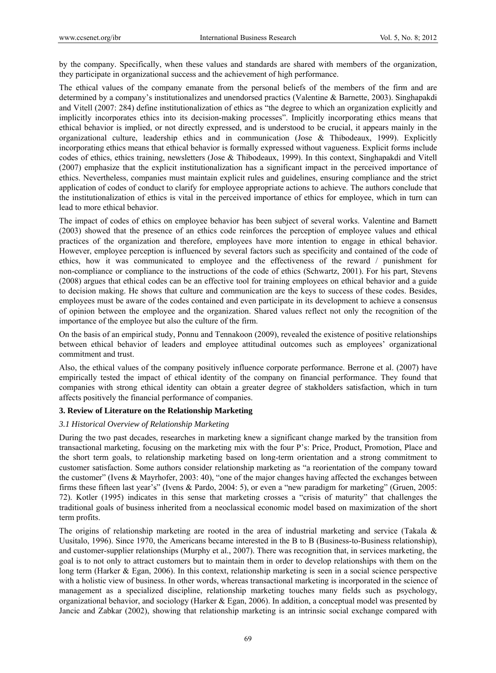by the company. Specifically, when these values and standards are shared with members of the organization, they participate in organizational success and the achievement of high performance.

The ethical values of the company emanate from the personal beliefs of the members of the firm and are determined by a company's institutionalizes and unendorsed practics (Valentine & Barnette, 2003). Singhapakdi and Vitell (2007: 284) define institutionalization of ethics as "the degree to which an organization explicitly and implicitly incorporates ethics into its decision-making processes". Implicitly incorporating ethics means that ethical behavior is implied, or not directly expressed, and is understood to be crucial, it appears mainly in the organizational culture, leadership ethics and in communication (Jose & Thibodeaux, 1999). Explicitly incorporating ethics means that ethical behavior is formally expressed without vagueness. Explicit forms include codes of ethics, ethics training, newsletters (Jose & Thibodeaux, 1999). In this context, Singhapakdi and Vitell (2007) emphasize that the explicit institutionalization has a significant impact in the perceived importance of ethics. Nevertheless, companies must maintain explicit rules and guidelines, ensuring compliance and the strict application of codes of conduct to clarify for employee appropriate actions to achieve. The authors conclude that the institutionalization of ethics is vital in the perceived importance of ethics for employee, which in turn can lead to more ethical behavior.

The impact of codes of ethics on employee behavior has been subject of several works. Valentine and Barnett (2003) showed that the presence of an ethics code reinforces the perception of employee values and ethical practices of the organization and therefore, employees have more intention to engage in ethical behavior. However, employee perception is influenced by several factors such as specificity and contained of the code of ethics, how it was communicated to employee and the effectiveness of the reward / punishment for non-compliance or compliance to the instructions of the code of ethics (Schwartz, 2001). For his part, Stevens (2008) argues that ethical codes can be an effective tool for training employees on ethical behavior and a guide to decision making. He shows that culture and communication are the keys to success of these codes. Besides, employees must be aware of the codes contained and even participate in its development to achieve a consensus of opinion between the employee and the organization. Shared values reflect not only the recognition of the importance of the employee but also the culture of the firm.

On the basis of an empirical study, Ponnu and Tennakoon (2009), revealed the existence of positive relationships between ethical behavior of leaders and employee attitudinal outcomes such as employees' organizational commitment and trust.

Also, the ethical values of the company positively influence corporate performance. Berrone et al. (2007) have empirically tested the impact of ethical identity of the company on financial performance. They found that companies with strong ethical identity can obtain a greater degree of stakholders satisfaction, which in turn affects positively the financial performance of companies.

#### **3. Review of Literature on the Relationship Marketing**

#### *3.1 Historical Overview of Relationship Marketing*

During the two past decades, researches in marketing knew a significant change marked by the transition from transactional marketing, focusing on the marketing mix with the four P's: Price, Product, Promotion, Place and the short term goals, to relationship marketing based on long-term orientation and a strong commitment to customer satisfaction. Some authors consider relationship marketing as "a reorientation of the company toward the customer" (Ivens & Mayrhofer, 2003: 40), "one of the major changes having affected the exchanges between firms these fifteen last year's" (Ivens & Pardo, 2004: 5), or even a "new paradigm for marketing" (Gruen, 2005: 72). Kotler (1995) indicates in this sense that marketing crosses a "crisis of maturity" that challenges the traditional goals of business inherited from a neoclassical economic model based on maximization of the short term profits.

The origins of relationship marketing are rooted in the area of industrial marketing and service (Takala & Uusitalo, 1996). Since 1970, the Americans became interested in the B to B (Business-to-Business relationship), and customer-supplier relationships (Murphy et al., 2007). There was recognition that, in services marketing, the goal is to not only to attract customers but to maintain them in order to develop relationships with them on the long term (Harker & Egan, 2006). In this context, relationship marketing is seen in a social science perspective with a holistic view of business. In other words, whereas transactional marketing is incorporated in the science of management as a specialized discipline, relationship marketing touches many fields such as psychology, organizational behavior, and sociology (Harker & Egan, 2006). In addition, a conceptual model was presented by Jancic and Zabkar (2002), showing that relationship marketing is an intrinsic social exchange compared with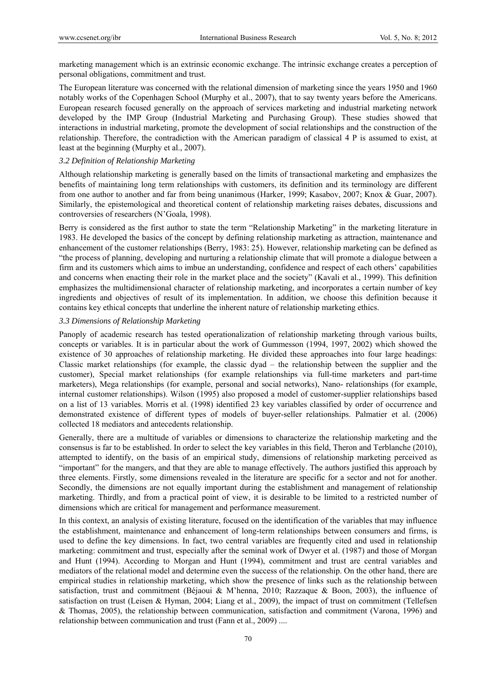marketing management which is an extrinsic economic exchange. The intrinsic exchange creates a perception of personal obligations, commitment and trust.

The European literature was concerned with the relational dimension of marketing since the years 1950 and 1960 notably works of the Copenhagen School (Murphy et al., 2007), that to say twenty years before the Americans. European research focused generally on the approach of services marketing and industrial marketing network developed by the IMP Group (Industrial Marketing and Purchasing Group). These studies showed that interactions in industrial marketing, promote the development of social relationships and the construction of the relationship. Therefore, the contradiction with the American paradigm of classical 4 P is assumed to exist, at least at the beginning (Murphy et al., 2007).

#### *3.2 Definition of Relationship Marketing*

Although relationship marketing is generally based on the limits of transactional marketing and emphasizes the benefits of maintaining long term relationships with customers, its definition and its terminology are different from one author to another and far from being unanimous (Harker, 1999; Kasabov, 2007; Knox & Guar, 2007). Similarly, the epistemological and theoretical content of relationship marketing raises debates, discussions and controversies of researchers (N'Goala, 1998).

Berry is considered as the first author to state the term "Relationship Marketing" in the marketing literature in 1983. He developed the basics of the concept by defining relationship marketing as attraction, maintenance and enhancement of the customer relationships (Berry, 1983: 25). However, relationship marketing can be defined as "the process of planning, developing and nurturing a relationship climate that will promote a dialogue between a firm and its customers which aims to imbue an understanding, confidence and respect of each others' capabilities and concerns when enacting their role in the market place and the society" (Kavali et al., 1999). This definition emphasizes the multidimensional character of relationship marketing, and incorporates a certain number of key ingredients and objectives of result of its implementation. In addition, we choose this definition because it contains key ethical concepts that underline the inherent nature of relationship marketing ethics.

#### *3.3 Dimensions of Relationship Marketing*

Panoply of academic research has tested operationalization of relationship marketing through various builts, concepts or variables. It is in particular about the work of Gummesson (1994, 1997, 2002) which showed the existence of 30 approaches of relationship marketing. He divided these approaches into four large headings: Classic market relationships (for example, the classic dyad – the relationship between the supplier and the customer), Special market relationships (for example relationships via full-time marketers and part-time marketers), Mega relationships (for example, personal and social networks), Nano- relationships (for example, internal customer relationships). Wilson (1995) also proposed a model of customer-supplier relationships based on a list of 13 variables. Morris et al. (1998) identified 23 key variables classified by order of occurrence and demonstrated existence of different types of models of buyer-seller relationships. Palmatier et al. (2006) collected 18 mediators and antecedents relationship.

Generally, there are a multitude of variables or dimensions to characterize the relationship marketing and the consensus is far to be established. In order to select the key variables in this field, Theron and Terblanche (2010), attempted to identify, on the basis of an empirical study, dimensions of relationship marketing perceived as "important" for the mangers, and that they are able to manage effectively. The authors justified this approach by three elements. Firstly, some dimensions revealed in the literature are specific for a sector and not for another. Secondly, the dimensions are not equally important during the establishment and management of relationship marketing. Thirdly, and from a practical point of view, it is desirable to be limited to a restricted number of dimensions which are critical for management and performance measurement.

In this context, an analysis of existing literature, focused on the identification of the variables that may influence the establishment, maintenance and enhancement of long-term relationships between consumers and firms, is used to define the key dimensions. In fact, two central variables are frequently cited and used in relationship marketing: commitment and trust, especially after the seminal work of Dwyer et al. (1987) and those of Morgan and Hunt (1994). According to Morgan and Hunt (1994), commitment and trust are central variables and mediators of the relational model and determine even the success of the relationship. On the other hand, there are empirical studies in relationship marketing, which show the presence of links such as the relationship between satisfaction, trust and commitment (Béjaoui & M'henna, 2010; Razzaque & Boon, 2003), the influence of satisfaction on trust (Leisen & Hyman, 2004; Liang et al., 2009), the impact of trust on commitment (Tellefsen & Thomas, 2005), the relationship between communication, satisfaction and commitment (Varona, 1996) and relationship between communication and trust (Fann et al., 2009) ....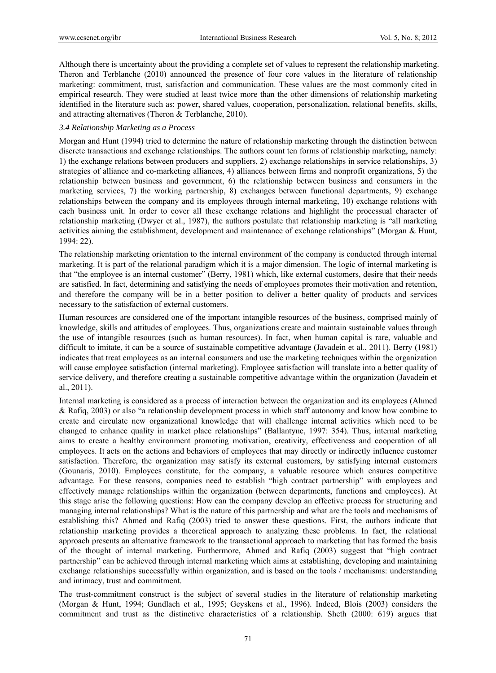Although there is uncertainty about the providing a complete set of values to represent the relationship marketing. Theron and Terblanche (2010) announced the presence of four core values in the literature of relationship marketing: commitment, trust, satisfaction and communication. These values are the most commonly cited in empirical research. They were studied at least twice more than the other dimensions of relationship marketing identified in the literature such as: power, shared values, cooperation, personalization, relational benefits, skills, and attracting alternatives (Theron & Terblanche, 2010).

#### *3.4 Relationship Marketing as a Process*

Morgan and Hunt (1994) tried to determine the nature of relationship marketing through the distinction between discrete transactions and exchange relationships. The authors count ten forms of relationship marketing, namely: 1) the exchange relations between producers and suppliers, 2) exchange relationships in service relationships, 3) strategies of alliance and co-marketing alliances, 4) alliances between firms and nonprofit organizations, 5) the relationship between business and government, 6) the relationship between business and consumers in the marketing services, 7) the working partnership, 8) exchanges between functional departments, 9) exchange relationships between the company and its employees through internal marketing, 10) exchange relations with each business unit. In order to cover all these exchange relations and highlight the processual character of relationship marketing (Dwyer et al., 1987), the authors postulate that relationship marketing is "all marketing activities aiming the establishment, development and maintenance of exchange relationships" (Morgan & Hunt, 1994: 22).

The relationship marketing orientation to the internal environment of the company is conducted through internal marketing. It is part of the relational paradigm which it is a major dimension. The logic of internal marketing is that "the employee is an internal customer" (Berry, 1981) which, like external customers, desire that their needs are satisfied. In fact, determining and satisfying the needs of employees promotes their motivation and retention, and therefore the company will be in a better position to deliver a better quality of products and services necessary to the satisfaction of external customers.

Human resources are considered one of the important intangible resources of the business, comprised mainly of knowledge, skills and attitudes of employees. Thus, organizations create and maintain sustainable values through the use of intangible resources (such as human resources). In fact, when human capital is rare, valuable and difficult to imitate, it can be a source of sustainable competitive advantage (Javadein et al., 2011). Berry (1981) indicates that treat employees as an internal consumers and use the marketing techniques within the organization will cause employee satisfaction (internal marketing). Employee satisfaction will translate into a better quality of service delivery, and therefore creating a sustainable competitive advantage within the organization (Javadein et al., 2011).

Internal marketing is considered as a process of interaction between the organization and its employees (Ahmed & Rafiq, 2003) or also "a relationship development process in which staff autonomy and know how combine to create and circulate new organizational knowledge that will challenge internal activities which need to be changed to enhance quality in market place relationships" (Ballantyne, 1997: 354). Thus, internal marketing aims to create a healthy environment promoting motivation, creativity, effectiveness and cooperation of all employees. It acts on the actions and behaviors of employees that may directly or indirectly influence customer satisfaction. Therefore, the organization may satisfy its external customers, by satisfying internal customers (Gounaris, 2010). Employees constitute, for the company, a valuable resource which ensures competitive advantage. For these reasons, companies need to establish "high contract partnership" with employees and effectively manage relationships within the organization (between departments, functions and employees). At this stage arise the following questions: How can the company develop an effective process for structuring and managing internal relationships? What is the nature of this partnership and what are the tools and mechanisms of establishing this? Ahmed and Rafiq (2003) tried to answer these questions. First, the authors indicate that relationship marketing provides a theoretical approach to analyzing these problems. In fact, the relational approach presents an alternative framework to the transactional approach to marketing that has formed the basis of the thought of internal marketing. Furthermore, Ahmed and Rafiq (2003) suggest that "high contract partnership" can be achieved through internal marketing which aims at establishing, developing and maintaining exchange relationships successfully within organization, and is based on the tools / mechanisms: understanding and intimacy, trust and commitment.

The trust-commitment construct is the subject of several studies in the literature of relationship marketing (Morgan & Hunt, 1994; Gundlach et al., 1995; Geyskens et al., 1996). Indeed, Blois (2003) considers the commitment and trust as the distinctive characteristics of a relationship. Sheth (2000: 619) argues that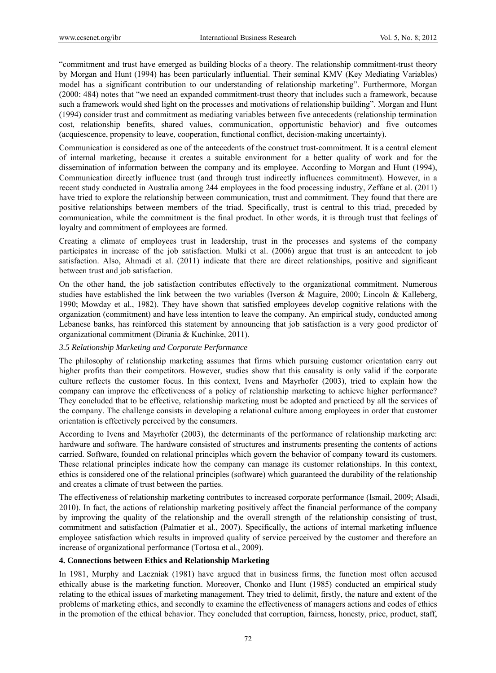"commitment and trust have emerged as building blocks of a theory. The relationship commitment-trust theory by Morgan and Hunt (1994) has been particularly influential. Their seminal KMV (Key Mediating Variables) model has a significant contribution to our understanding of relationship marketing". Furthermore, Morgan (2000: 484) notes that "we need an expanded commitment-trust theory that includes such a framework, because such a framework would shed light on the processes and motivations of relationship building". Morgan and Hunt (1994) consider trust and commitment as mediating variables between five antecedents (relationship termination cost, relationship benefits, shared values, communication, opportunistic behavior) and five outcomes (acquiescence, propensity to leave, cooperation, functional conflict, decision-making uncertainty).

Communication is considered as one of the antecedents of the construct trust-commitment. It is a central element of internal marketing, because it creates a suitable environment for a better quality of work and for the dissemination of information between the company and its employee. According to Morgan and Hunt (1994), Communication directly influence trust (and through trust indirectly influences commitment). However, in a recent study conducted in Australia among 244 employees in the food processing industry, Zeffane et al. (2011) have tried to explore the relationship between communication, trust and commitment. They found that there are positive relationships between members of the triad. Specifically, trust is central to this triad, preceded by communication, while the commitment is the final product. In other words, it is through trust that feelings of loyalty and commitment of employees are formed.

Creating a climate of employees trust in leadership, trust in the processes and systems of the company participates in increase of the job satisfaction. Mulki et al. (2006) argue that trust is an antecedent to job satisfaction. Also, Ahmadi et al. (2011) indicate that there are direct relationships, positive and significant between trust and job satisfaction.

On the other hand, the job satisfaction contributes effectively to the organizational commitment. Numerous studies have established the link between the two variables (Iverson & Maguire, 2000; Lincoln & Kalleberg, 1990; Mowday et al., 1982). They have shown that satisfied employees develop cognitive relations with the organization (commitment) and have less intention to leave the company. An empirical study, conducted among Lebanese banks, has reinforced this statement by announcing that job satisfaction is a very good predictor of organizational commitment (Dirania & Kuchinke, 2011).

#### *3.5 Relationship Marketing and Corporate Performance*

The philosophy of relationship marketing assumes that firms which pursuing customer orientation carry out higher profits than their competitors. However, studies show that this causality is only valid if the corporate culture reflects the customer focus. In this context, Ivens and Mayrhofer (2003), tried to explain how the company can improve the effectiveness of a policy of relationship marketing to achieve higher performance? They concluded that to be effective, relationship marketing must be adopted and practiced by all the services of the company. The challenge consists in developing a relational culture among employees in order that customer orientation is effectively perceived by the consumers.

According to Ivens and Mayrhofer (2003), the determinants of the performance of relationship marketing are: hardware and software. The hardware consisted of structures and instruments presenting the contents of actions carried. Software, founded on relational principles which govern the behavior of company toward its customers. These relational principles indicate how the company can manage its customer relationships. In this context, ethics is considered one of the relational principles (software) which guaranteed the durability of the relationship and creates a climate of trust between the parties.

The effectiveness of relationship marketing contributes to increased corporate performance (Ismail, 2009; Alsadi, 2010). In fact, the actions of relationship marketing positively affect the financial performance of the company by improving the quality of the relationship and the overall strength of the relationship consisting of trust, commitment and satisfaction (Palmatier et al., 2007). Specifically, the actions of internal marketing influence employee satisfaction which results in improved quality of service perceived by the customer and therefore an increase of organizational performance (Tortosa et al., 2009).

## **4. Connections between Ethics and Relationship Marketing**

In 1981, Murphy and Laczniak (1981) have argued that in business firms, the function most often accused ethically abuse is the marketing function. Moreover, Chonko and Hunt (1985) conducted an empirical study relating to the ethical issues of marketing management. They tried to delimit, firstly, the nature and extent of the problems of marketing ethics, and secondly to examine the effectiveness of managers actions and codes of ethics in the promotion of the ethical behavior. They concluded that corruption, fairness, honesty, price, product, staff,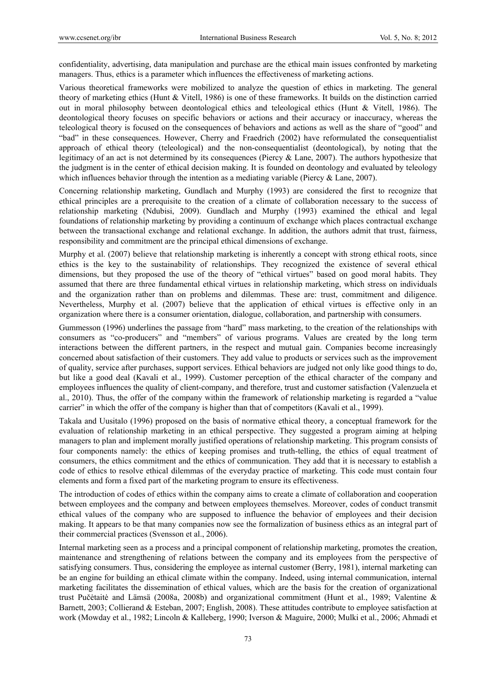confidentiality, advertising, data manipulation and purchase are the ethical main issues confronted by marketing managers. Thus, ethics is a parameter which influences the effectiveness of marketing actions.

Various theoretical frameworks were mobilized to analyze the question of ethics in marketing. The general theory of marketing ethics (Hunt & Vitell, 1986) is one of these frameworks. It builds on the distinction carried out in moral philosophy between deontological ethics and teleological ethics (Hunt & Vitell, 1986). The deontological theory focuses on specific behaviors or actions and their accuracy or inaccuracy, whereas the teleological theory is focused on the consequences of behaviors and actions as well as the share of "good" and "bad" in these consequences. However, Cherry and Fraedrich (2002) have reformulated the consequentialist approach of ethical theory (teleological) and the non-consequentialist (deontological), by noting that the legitimacy of an act is not determined by its consequences (Piercy & Lane, 2007). The authors hypothesize that the judgment is in the center of ethical decision making. It is founded on deontology and evaluated by teleology which influences behavior through the intention as a mediating variable (Piercy & Lane, 2007).

Concerning relationship marketing, Gundlach and Murphy (1993) are considered the first to recognize that ethical principles are a prerequisite to the creation of a climate of collaboration necessary to the success of relationship marketing (Ndubisi, 2009). Gundlach and Murphy (1993) examined the ethical and legal foundations of relationship marketing by providing a continuum of exchange which places contractual exchange between the transactional exchange and relational exchange. In addition, the authors admit that trust, fairness, responsibility and commitment are the principal ethical dimensions of exchange.

Murphy et al. (2007) believe that relationship marketing is inherently a concept with strong ethical roots, since ethics is the key to the sustainability of relationships. They recognized the existence of several ethical dimensions, but they proposed the use of the theory of "ethical virtues" based on good moral habits. They assumed that there are three fundamental ethical virtues in relationship marketing, which stress on individuals and the organization rather than on problems and dilemmas. These are: trust, commitment and diligence. Nevertheless, Murphy et al. (2007) believe that the application of ethical virtues is effective only in an organization where there is a consumer orientation, dialogue, collaboration, and partnership with consumers.

Gummesson (1996) underlines the passage from "hard" mass marketing, to the creation of the relationships with consumers as "co-producers" and "members" of various programs. Values are created by the long term interactions between the different partners, in the respect and mutual gain. Companies become increasingly concerned about satisfaction of their customers. They add value to products or services such as the improvement of quality, service after purchases, support services. Ethical behaviors are judged not only like good things to do, but like a good deal (Kavali et al., 1999). Customer perception of the ethical character of the company and employees influences the quality of client-company, and therefore, trust and customer satisfaction (Valenzuela et al., 2010). Thus, the offer of the company within the framework of relationship marketing is regarded a "value carrier" in which the offer of the company is higher than that of competitors (Kavali et al., 1999).

Takala and Uusitalo (1996) proposed on the basis of normative ethical theory, a conceptual framework for the evaluation of relationship marketing in an ethical perspective. They suggested a program aiming at helping managers to plan and implement morally justified operations of relationship marketing. This program consists of four components namely: the ethics of keeping promises and truth-telling, the ethics of equal treatment of consumers, the ethics commitment and the ethics of communication. They add that it is necessary to establish a code of ethics to resolve ethical dilemmas of the everyday practice of marketing. This code must contain four elements and form a fixed part of the marketing program to ensure its effectiveness.

The introduction of codes of ethics within the company aims to create a climate of collaboration and cooperation between employees and the company and between employees themselves. Moreover, codes of conduct transmit ethical values of the company who are supposed to influence the behavior of employees and their decision making. It appears to be that many companies now see the formalization of business ethics as an integral part of their commercial practices (Svensson et al., 2006).

Internal marketing seen as a process and a principal component of relationship marketing, promotes the creation, maintenance and strengthening of relations between the company and its employees from the perspective of satisfying consumers. Thus, considering the employee as internal customer (Berry, 1981), internal marketing can be an engine for building an ethical climate within the company. Indeed, using internal communication, internal marketing facilitates the dissemination of ethical values, which are the basis for the creation of organizational trust Pučėtaitė and Lämsä (2008a, 2008b) and organizational commitment (Hunt et al., 1989; Valentine & Barnett, 2003; Collierand & Esteban, 2007; English, 2008). These attitudes contribute to employee satisfaction at work (Mowday et al., 1982; Lincoln & Kalleberg, 1990; Iverson & Maguire, 2000; Mulki et al., 2006; Ahmadi et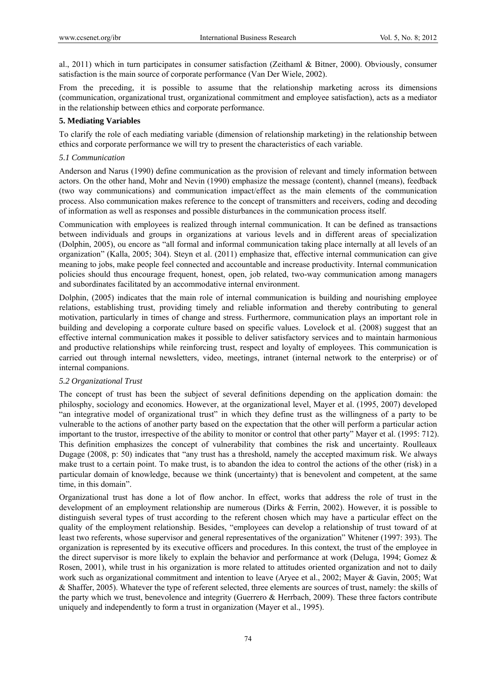al., 2011) which in turn participates in consumer satisfaction (Zeithaml & Bitner, 2000). Obviously, consumer satisfaction is the main source of corporate performance (Van Der Wiele, 2002).

From the preceding, it is possible to assume that the relationship marketing across its dimensions (communication, organizational trust, organizational commitment and employee satisfaction), acts as a mediator in the relationship between ethics and corporate performance.

#### **5. Mediating Variables**

To clarify the role of each mediating variable (dimension of relationship marketing) in the relationship between ethics and corporate performance we will try to present the characteristics of each variable.

#### *5.1 Communication*

Anderson and Narus (1990) define communication as the provision of relevant and timely information between actors. On the other hand, Mohr and Nevin (1990) emphasize the message (content), channel (means), feedback (two way communications) and communication impact/effect as the main elements of the communication process. Also communication makes reference to the concept of transmitters and receivers, coding and decoding of information as well as responses and possible disturbances in the communication process itself.

Communication with employees is realized through internal communication. It can be defined as transactions between individuals and groups in organizations at various levels and in different areas of specialization (Dolphin, 2005), ou encore as "all formal and informal communication taking place internally at all levels of an organization" (Kalla, 2005; 304). Steyn et al. (2011) emphasize that, effective internal communication can give meaning to jobs, make people feel connected and accountable and increase productivity. Internal communication policies should thus encourage frequent, honest, open, job related, two-way communication among managers and subordinates facilitated by an accommodative internal environment.

Dolphin, (2005) indicates that the main role of internal communication is building and nourishing employee relations, establishing trust, providing timely and reliable information and thereby contributing to general motivation, particularly in times of change and stress. Furthermore, communication plays an important role in building and developing a corporate culture based on specific values. Lovelock et al. (2008) suggest that an effective internal communication makes it possible to deliver satisfactory services and to maintain harmonious and productive relationships while reinforcing trust, respect and loyalty of employees. This communication is carried out through internal newsletters, video, meetings, intranet (internal network to the enterprise) or of internal companions.

## *5.2 Organizational Trust*

The concept of trust has been the subject of several definitions depending on the application domain: the philosphy, sociology and economics. However, at the organizational level, Mayer et al. (1995, 2007) developed "an integrative model of organizational trust" in which they define trust as the willingness of a party to be vulnerable to the actions of another party based on the expectation that the other will perform a particular action important to the trustor, irrespective of the ability to monitor or control that other party" Mayer et al. (1995: 712). This definition emphasizes the concept of vulnerability that combines the risk and uncertainty. Roulleaux Dugage (2008, p: 50) indicates that "any trust has a threshold, namely the accepted maximum risk. We always make trust to a certain point. To make trust, is to abandon the idea to control the actions of the other (risk) in a particular domain of knowledge, because we think (uncertainty) that is benevolent and competent, at the same time, in this domain".

Organizational trust has done a lot of flow anchor. In effect, works that address the role of trust in the development of an employment relationship are numerous (Dirks & Ferrin, 2002). However, it is possible to distinguish several types of trust according to the referent chosen which may have a particular effect on the quality of the employment relationship. Besides, "employees can develop a relationship of trust toward of at least two referents, whose supervisor and general representatives of the organization" Whitener (1997: 393). The organization is represented by its executive officers and procedures. In this context, the trust of the employee in the direct supervisor is more likely to explain the behavior and performance at work (Deluga, 1994; Gomez & Rosen, 2001), while trust in his organization is more related to attitudes oriented organization and not to daily work such as organizational commitment and intention to leave (Aryee et al., 2002; Mayer & Gavin, 2005; Wat & Shaffer, 2005). Whatever the type of referent selected, three elements are sources of trust, namely: the skills of the party which we trust, benevolence and integrity (Guerrero & Herrbach, 2009). These three factors contribute uniquely and independently to form a trust in organization (Mayer et al., 1995).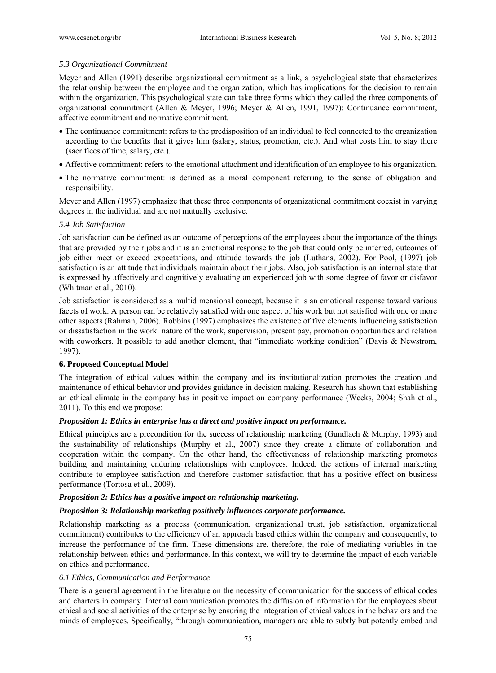#### *5.3 Organizational Commitment*

Meyer and Allen (1991) describe organizational commitment as a link, a psychological state that characterizes the relationship between the employee and the organization, which has implications for the decision to remain within the organization. This psychological state can take three forms which they called the three components of organizational commitment (Allen & Meyer, 1996; Meyer & Allen, 1991, 1997): Continuance commitment, affective commitment and normative commitment.

- The continuance commitment: refers to the predisposition of an individual to feel connected to the organization according to the benefits that it gives him (salary, status, promotion, etc.). And what costs him to stay there (sacrifices of time, salary, etc.).
- Affective commitment: refers to the emotional attachment and identification of an employee to his organization.
- The normative commitment: is defined as a moral component referring to the sense of obligation and responsibility.

Meyer and Allen (1997) emphasize that these three components of organizational commitment coexist in varying degrees in the individual and are not mutually exclusive.

#### *5.4 Job Satisfaction*

Job satisfaction can be defined as an outcome of perceptions of the employees about the importance of the things that are provided by their jobs and it is an emotional response to the job that could only be inferred, outcomes of job either meet or exceed expectations, and attitude towards the job (Luthans, 2002). For Pool, (1997) job satisfaction is an attitude that individuals maintain about their jobs. Also, job satisfaction is an internal state that is expressed by affectively and cognitively evaluating an experienced job with some degree of favor or disfavor (Whitman et al., 2010).

Job satisfaction is considered as a multidimensional concept, because it is an emotional response toward various facets of work. A person can be relatively satisfied with one aspect of his work but not satisfied with one or more other aspects (Rahman, 2006). Robbins (1997) emphasizes the existence of five elements influencing satisfaction or dissatisfaction in the work: nature of the work, supervision, present pay, promotion opportunities and relation with coworkers. It possible to add another element, that "immediate working condition" (Davis & Newstrom, 1997).

#### **6. Proposed Conceptual Model**

The integration of ethical values within the company and its institutionalization promotes the creation and maintenance of ethical behavior and provides guidance in decision making. Research has shown that establishing an ethical climate in the company has in positive impact on company performance (Weeks, 2004; Shah et al., 2011). To this end we propose:

#### *Proposition 1: Ethics in enterprise has a direct and positive impact on performance.*

Ethical principles are a precondition for the success of relationship marketing (Gundlach & Murphy, 1993) and the sustainability of relationships (Murphy et al., 2007) since they create a climate of collaboration and cooperation within the company. On the other hand, the effectiveness of relationship marketing promotes building and maintaining enduring relationships with employees. Indeed, the actions of internal marketing contribute to employee satisfaction and therefore customer satisfaction that has a positive effect on business performance (Tortosa et al., 2009).

#### *Proposition 2: Ethics has a positive impact on relationship marketing.*

#### *Proposition 3: Relationship marketing positively influences corporate performance.*

Relationship marketing as a process (communication, organizational trust, job satisfaction, organizational commitment) contributes to the efficiency of an approach based ethics within the company and consequently, to increase the performance of the firm. These dimensions are, therefore, the role of mediating variables in the relationship between ethics and performance. In this context, we will try to determine the impact of each variable on ethics and performance.

#### *6.1 Ethics, Communication and Performance*

There is a general agreement in the literature on the necessity of communication for the success of ethical codes and charters in company. Internal communication promotes the diffusion of information for the employees about ethical and social activities of the enterprise by ensuring the integration of ethical values in the behaviors and the minds of employees. Specifically, "through communication, managers are able to subtly but potently embed and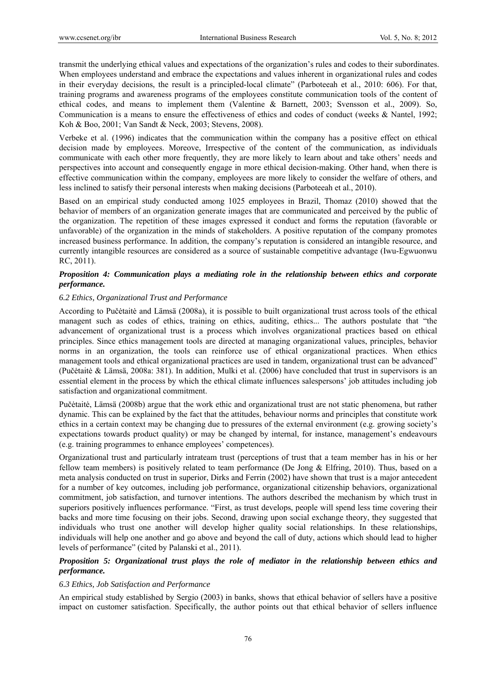transmit the underlying ethical values and expectations of the organization's rules and codes to their subordinates. When employees understand and embrace the expectations and values inherent in organizational rules and codes in their everyday decisions, the result is a principled-local climate" (Parboteeah et al., 2010: 606). For that, training programs and awareness programs of the employees constitute communication tools of the content of ethical codes, and means to implement them (Valentine & Barnett, 2003; Svensson et al., 2009). So, Communication is a means to ensure the effectiveness of ethics and codes of conduct (weeks & Nantel, 1992; Koh & Boo, 2001; Van Sandt & Neck, 2003; Stevens, 2008).

Verbeke et al. (1996) indicates that the communication within the company has a positive effect on ethical decision made by employees. Moreove, Irrespective of the content of the communication, as individuals communicate with each other more frequently, they are more likely to learn about and take others' needs and perspectives into account and consequently engage in more ethical decision-making. Other hand, when there is effective communication within the company, employees are more likely to consider the welfare of others, and less inclined to satisfy their personal interests when making decisions (Parboteeah et al., 2010).

Based on an empirical study conducted among 1025 employees in Brazil, Thomaz (2010) showed that the behavior of members of an organization generate images that are communicated and perceived by the public of the organization. The repetition of these images expressed it conduct and forms the reputation (favorable or unfavorable) of the organization in the minds of stakeholders. A positive reputation of the company promotes increased business performance. In addition, the company's reputation is considered an intangible resource, and currently intangible resources are considered as a source of sustainable competitive advantage (Iwu-Egwuonwu RC, 2011).

## *Proposition 4: Communication plays a mediating role in the relationship between ethics and corporate performance.*

## *6.2 Ethics, Organizational Trust and Performance*

According to Pučėtaitė and Lämsä (2008a), it is possible to built organizational trust across tools of the ethical managent such as codes of ethics, training on ethics, auditing, ethics... The authors postulate that "the advancement of organizational trust is a process which involves organizational practices based on ethical principles. Since ethics management tools are directed at managing organizational values, principles, behavior norms in an organization, the tools can reinforce use of ethical organizational practices. When ethics management tools and ethical organizational practices are used in tandem, organizational trust can be advanced" (Pučėtaitė & Lämsä, 2008a: 381). In addition, Mulki et al. (2006) have concluded that trust in supervisors is an essential element in the process by which the ethical climate influences salespersons' job attitudes including job satisfaction and organizational commitment.

Pučėtaitė, Lämsä (2008b) argue that the work ethic and organizational trust are not static phenomena, but rather dynamic. This can be explained by the fact that the attitudes, behaviour norms and principles that constitute work ethics in a certain context may be changing due to pressures of the external environment (e.g. growing society's expectations towards product quality) or may be changed by internal, for instance, management's endeavours (e.g. training programmes to enhance employees' competences).

Organizational trust and particularly intrateam trust (perceptions of trust that a team member has in his or her fellow team members) is positively related to team performance (De Jong & Elfring, 2010). Thus, based on a meta analysis conducted on trust in superior, Dirks and Ferrin (2002) have shown that trust is a major antecedent for a number of key outcomes, including job performance, organizational citizenship behaviors, organizational commitment, job satisfaction, and turnover intentions. The authors described the mechanism by which trust in superiors positively influences performance. "First, as trust develops, people will spend less time covering their backs and more time focusing on their jobs. Second, drawing upon social exchange theory, they suggested that individuals who trust one another will develop higher quality social relationships. In these relationships, individuals will help one another and go above and beyond the call of duty, actions which should lead to higher levels of performance" (cited by Palanski et al., 2011).

## *Proposition 5: Organizational trust plays the role of mediator in the relationship between ethics and performance.*

#### *6.3 Ethics, Job Satisfaction and Performance*

An empirical study established by Sergio (2003) in banks, shows that ethical behavior of sellers have a positive impact on customer satisfaction. Specifically, the author points out that ethical behavior of sellers influence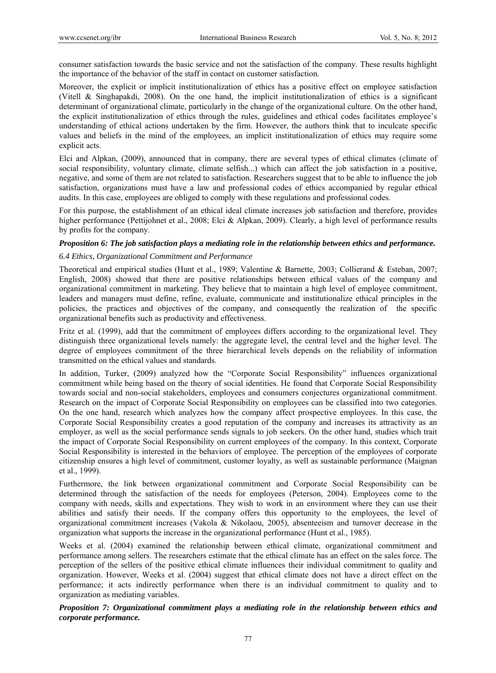consumer satisfaction towards the basic service and not the satisfaction of the company. These results highlight the importance of the behavior of the staff in contact on customer satisfaction.

Moreover, the explicit or implicit institutionalization of ethics has a positive effect on employee satisfaction (Vitell & Singhapakdi, 2008). On the one hand, the implicit institutionalization of ethics is a significant determinant of organizational climate, particularly in the change of the organizational culture. On the other hand, the explicit institutionalization of ethics through the rules, guidelines and ethical codes facilitates employee's understanding of ethical actions undertaken by the firm. However, the authors think that to inculcate specific values and beliefs in the mind of the employees, an implicit institutionalization of ethics may require some explicit acts.

Elci and Alpkan, (2009), announced that in company, there are several types of ethical climates (climate of social responsibility, voluntary climate, climate selfish...) which can affect the job satisfaction in a positive, negative, and some of them are not related to satisfaction. Researchers suggest that to be able to influence the job satisfaction, organizations must have a law and professional codes of ethics accompanied by regular ethical audits. In this case, employees are obliged to comply with these regulations and professional codes.

For this purpose, the establishment of an ethical ideal climate increases job satisfaction and therefore, provides higher performance (Pettijohnet et al., 2008; Elci & Alpkan, 2009). Clearly, a high level of performance results by profits for the company.

## *Proposition 6: The job satisfaction plays a mediating role in the relationship between ethics and performance.*

## *6.4 Ethics, Organizational Commitment and Performance*

Theoretical and empirical studies (Hunt et al., 1989; Valentine & Barnette, 2003; Collierand & Esteban, 2007; English, 2008) showed that there are positive relationships between ethical values of the company and organizational commitment in marketing. They believe that to maintain a high level of employee commitment, leaders and managers must define, refine, evaluate, communicate and institutionalize ethical principles in the policies, the practices and objectives of the company, and consequently the realization of the specific organizational benefits such as productivity and effectiveness.

Fritz et al. (1999), add that the commitment of employees differs according to the organizational level. They distinguish three organizational levels namely: the aggregate level, the central level and the higher level. The degree of employees commitment of the three hierarchical levels depends on the reliability of information transmitted on the ethical values and standards.

In addition, Turker, (2009) analyzed how the "Corporate Social Responsibility" influences organizational commitment while being based on the theory of social identities. He found that Corporate Social Responsibility towards social and non-social stakeholders, employees and consumers conjectures organizational commitment. Research on the impact of Corporate Social Responsibility on employees can be classified into two categories. On the one hand, research which analyzes how the company affect prospective employees. In this case, the Corporate Social Responsibility creates a good reputation of the company and increases its attractivity as an employer, as well as the social performance sends signals to job seekers. On the other hand, studies which trait the impact of Corporate Social Responsibility on current employees of the company. In this context, Corporate Social Responsibility is interested in the behaviors of employee. The perception of the employees of corporate citizenship ensures a high level of commitment, customer loyalty, as well as sustainable performance (Maignan et al., 1999).

Furthermore, the link between organizational commitment and Corporate Social Responsibility can be determined through the satisfaction of the needs for employees (Peterson, 2004). Employees come to the company with needs, skills and expectations. They wish to work in an environment where they can use their abilities and satisfy their needs. If the company offers this opportunity to the employees, the level of organizational commitment increases (Vakola & Nikolaou, 2005), absenteeism and turnover decrease in the organization what supports the increase in the organizational performance (Hunt et al., 1985).

Weeks et al. (2004) examined the relationship between ethical climate, organizational commitment and performance among sellers. The researchers estimate that the ethical climate has an effect on the sales force. The perception of the sellers of the positive ethical climate influences their individual commitment to quality and organization. However, Weeks et al. (2004) suggest that ethical climate does not have a direct effect on the performance; it acts indirectly performance when there is an individual commitment to quality and to organization as mediating variables.

*Proposition 7: Organizational commitment plays a mediating role in the relationship between ethics and corporate performance.*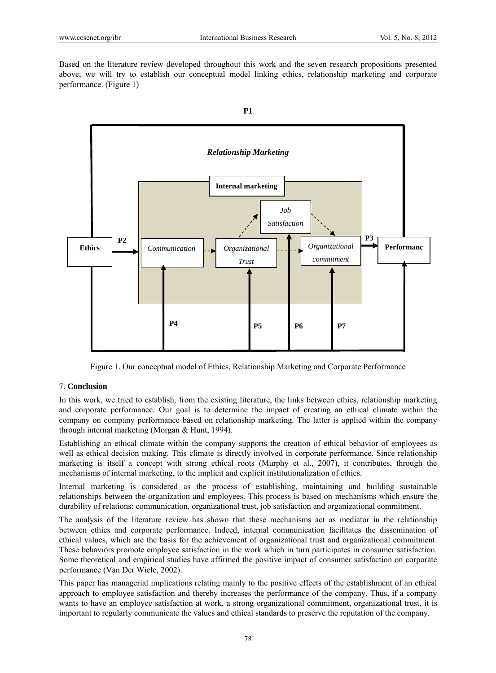Based on the literature review developed throughout this work and the seven research propositions presented above, we will try to establish our conceptual model linking ethics, relationship marketing and corporate performance. (Figure 1)





Figure 1. Our conceptual model of Ethics, Relationship Marketing and Corporate Performance

#### 7. **Conclusion**

In this work, we tried to establish, from the existing literature, the links between ethics, relationship marketing and corporate performance. Our goal is to determine the impact of creating an ethical climate within the company on company performance based on relationship marketing. The latter is applied within the company through internal marketing (Morgan & Hunt, 1994).

Establishing an ethical climate within the company supports the creation of ethical behavior of employees as well as ethical decision making. This climate is directly involved in corporate performance. Since relationship marketing is itself a concept with strong ethical roots (Murphy et al., 2007), it contributes, through the mechanisms of internal marketing, to the implicit and explicit institutionalization of ethics.

Internal marketing is considered as the process of establishing, maintaining and building sustainable relationships between the organization and employees. This process is based on mechanisms which ensure the durability of relations: communication, organizational trust, job satisfaction and organizational commitment.

The analysis of the literature review has shown that these mechanisms act as mediator in the relationship between ethics and corporate performance. Indeed, internal communication facilitates the dissemination of ethical values, which are the basis for the achievement of organizational trust and organizational commitment. These behaviors promote employee satisfaction in the work which in turn participates in consumer satisfaction. Some theoretical and empirical studies have affirmed the positive impact of consumer satisfaction on corporate performance (Van Der Wiele, 2002).

This paper has managerial implications relating mainly to the positive effects of the establishment of an ethical approach to employee satisfaction and thereby increases the performance of the company. Thus, if a company wants to have an employee satisfaction at work, a strong organizational commitment, organizational trust, it is important to regularly communicate the values and ethical standards to preserve the reputation of the company.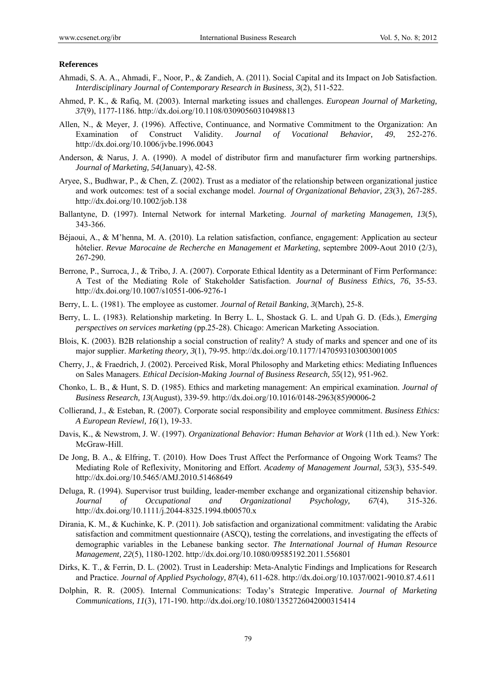#### **References**

- Ahmadi, S. A. A., Ahmadi, F., Noor, P., & Zandieh, A. (2011). Social Capital and its Impact on Job Satisfaction. *Interdisciplinary Journal of Contemporary Research in Business, 3*(2), 511-522.
- Ahmed, P. K., & Rafiq, M. (2003). Internal marketing issues and challenges. *European Journal of Marketing, 37*(9), 1177-1186. http://dx.doi.org/10.1108/03090560310498813
- Allen, N., & Meyer, J. (1996). Affective, Continuance, and Normative Commitment to the Organization: An Examination of Construct Validity. *Journal of Vocational Behavior, 49*, 252-276. http://dx.doi.org/10.1006/jvbe.1996.0043
- Anderson, & Narus, J. A. (1990). A model of distributor firm and manufacturer firm working partnerships. *Journal of Marketing, 54*(January), 42-58.
- Aryee, S., Budhwar, P., & Chen, Z. (2002). Trust as a mediator of the relationship between organizational justice and work outcomes: test of a social exchange model. *Journal of Organizational Behavior, 23*(3), 267-285. http://dx.doi.org/10.1002/job.138
- Ballantyne, D. (1997). Internal Network for internal Marketing. *Journal of marketing Managemen, 13*(5), 343-366.
- Béjaoui, A., & M'henna, M. A. (2010). La relation satisfaction, confiance, engagement: Application au secteur hôtelier. *Revue Marocaine de Recherche en Management et Marketing*, septembre 2009-Aout 2010 (2/3), 267-290.
- Berrone, P., Surroca, J., & Tribo, J. A. (2007). Corporate Ethical Identity as a Determinant of Firm Performance: A Test of the Mediating Role of Stakeholder Satisfaction. *Journal of Business Ethics, 76*, 35-53. http://dx.doi.org/10.1007/s10551-006-9276-1
- Berry, L. L. (1981). The employee as customer. *Journal of Retail Banking, 3*(March), 25-8.
- Berry, L. L. (1983). Relationship marketing. In Berry L. L, Shostack G. L. and Upah G. D. (Eds.), *Emerging perspectives on services marketing* (pp.25-28). Chicago: American Marketing Association.
- Blois, K. (2003). B2B relationship a social construction of reality? A study of marks and spencer and one of its major supplier. *Marketing theory, 3*(1), 79-95. http://dx.doi.org/10.1177/1470593103003001005
- Cherry, J., & Fraedrich, J. (2002). Perceived Risk, Moral Philosophy and Marketing ethics: Mediating Influences on Sales Managers. *Ethical Decision-Making Journal of Business Research, 55*(12), 951-962.
- Chonko, L. B., & Hunt, S. D. (1985). Ethics and marketing management: An empirical examination. *Journal of Business Research, 13*(August), 339-59. http://dx.doi.org/10.1016/0148-2963(85)90006-2
- Collierand, J., & Esteban, R. (2007). Corporate social responsibility and employee commitment. *Business Ethics: A European Reviewl, 16*(1), 19-33.
- Davis, K., & Newstrom, J. W. (1997). *Organizational Behavior: Human Behavior at Work* (11th ed.). New York: McGraw-Hill.
- De Jong, B. A., & Elfring, T. (2010). How Does Trust Affect the Performance of Ongoing Work Teams? The Mediating Role of Reflexivity, Monitoring and Effort. *Academy of Management Journal, 53*(3), 535-549. http://dx.doi.org/10.5465/AMJ.2010.51468649
- Deluga, R. (1994). Supervisor trust building, leader-member exchange and organizational citizenship behavior. *Journal of Occupational and Organizational Psychology, 67*(4), 315-326. http://dx.doi.org/10.1111/j.2044-8325.1994.tb00570.x
- Dirania, K. M., & Kuchinke, K. P. (2011). Job satisfaction and organizational commitment: validating the Arabic satisfaction and commitment questionnaire (ASCQ), testing the correlations, and investigating the effects of demographic variables in the Lebanese banking sector. *The International Journal of Human Resource Management, 22*(5), 1180-1202. http://dx.doi.org/10.1080/09585192.2011.556801
- Dirks, K. T., & Ferrin, D. L. (2002). Trust in Leadership: Meta-Analytic Findings and Implications for Research and Practice. *Journal of Applied Psychology, 87*(4), 611-628. http://dx.doi.org/10.1037/0021-9010.87.4.611
- Dolphin, R. R. (2005). Internal Communications: Today's Strategic Imperative. *Journal of Marketing Communications, 11*(3), 171-190. http://dx.doi.org/10.1080/1352726042000315414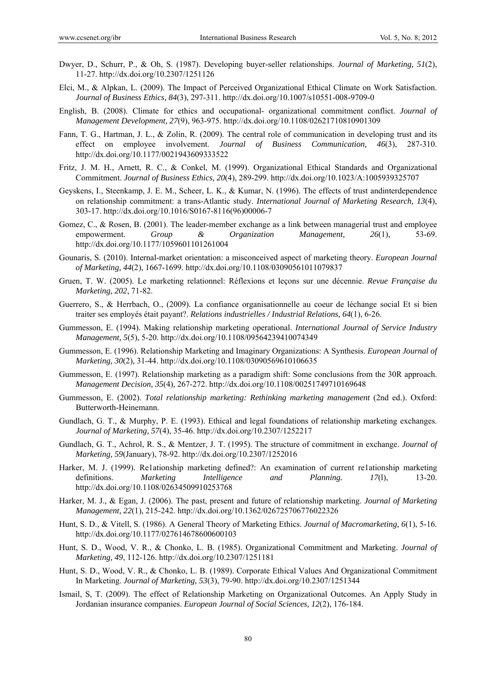- Dwyer, D., Schurr, P., & Oh, S. (1987). Developing buyer-seller relationships. *Journal of Marketing, 51*(2), 11-27. http://dx.doi.org/10.2307/1251126
- Elci, M., & Alpkan, L. (2009). The Impact of Perceived Organizational Ethical Climate on Work Satisfaction. *Journal of Business Ethics, 84*(3), 297-311. http://dx.doi.org/10.1007/s10551-008-9709-0
- English, B. (2008). Climate for ethics and occupational- organizational commitment conflict. *Journal of Management Development, 27*(9), 963-975. http://dx.doi.org/10.1108/02621710810901309
- Fann, T. G., Hartman, J. L., & Zolin, R. (2009). The central role of communication in developing trust and its effect on employee involvement. *Journal of Business Communication, 46*(3), 287-310. http://dx.doi.org/10.1177/0021943609333522
- Fritz, J. M. H., Arnett, R. C., & Conkel, M. (1999). Organizational Ethical Standards and Organizational Commitment. *Journal of Business Ethics, 20*(4), 289-299. http://dx.doi.org/10.1023/A:1005939325707
- Geyskens, I., Steenkamp, J. E. M., Scheer, L. K., & Kumar, N. (1996). The effects of trust andinterdependence on relationship commitment: a trans-Atlantic study. *International Journal of Marketing Research, 13*(4), 303-17. http://dx.doi.org/10.1016/S0167-8116(96)00006-7
- Gomez, C., & Rosen, B. (2001). The leader-member exchange as a link between managerial trust and employee empowerment. *Group & Organization Management, 26*(1), 53-69. http://dx.doi.org/10.1177/1059601101261004
- Gounaris, S. (2010). Internal-market orientation: a misconceived aspect of marketing theory. *European Journal of Marketing, 44*(2), 1667-1699. http://dx.doi.org/10.1108/03090561011079837
- Gruen, T. W. (2005). Le marketing relationnel: Réflexions et leçons sur une décennie. *Revue Française du Marketing, 202*, 71-82.
- Guerrero, S., & Herrbach, O., (2009). La confiance organisationnelle au coeur de léchange social Et si bien traiter ses employés était payant?. *Relations industrielles / Industrial Relations, 64*(1), 6-26.
- Gummesson, E. (1994). Making relationship marketing operational. *International Journal of Service Industry Management, 5*(5), 5-20. http://dx.doi.org/10.1108/09564239410074349
- Gummesson, E. (1996). Relationship Marketing and Imaginary Organizations: A Synthesis. *European Journal of Marketing, 30*(2), 31-44. http://dx.doi.org/10.1108/03090569610106635
- Gummesson, E. (1997). Relationship marketing as a paradigm shift: Some conclusions from the 30R approach. *Management Decision, 35*(4), 267-272. http://dx.doi.org/10.1108/00251749710169648
- Gummesson, E. (2002). *Total relationship marketing: Rethinking marketing management* (2nd ed.). Oxford: Butterworth-Heinemann.
- Gundlach, G. T., & Murphy, P. E. (1993). Ethical and legal foundations of relationship marketing exchanges. *Journal of Marketing, 57*(4), 35-46. http://dx.doi.org/10.2307/1252217
- Gundlach, G. T., Achrol, R. S., & Mentzer, J. T. (1995). The structure of commitment in exchange. *Journal of Marketing, 59*(January), 78-92. http://dx.doi.org/10.2307/1252016
- Harker, M. J. (1999). Re1ationship marketing defined?: An examination of current re1ationship marketing definitions. *Marketing Intelligence and Planning. 17*(l), 13-20. http://dx.doi.org/10.1108/02634509910253768
- Harker, M. J., & Egan, J. (2006). The past, present and future of relationship marketing. *Journal of Marketing Management, 22*(1), 215-242. http://dx.doi.org/10.1362/026725706776022326
- Hunt, S. D., & Vitell, S. (1986). A General Theory of Marketing Ethics. *Journal of Macromarketing, 6*(1), 5-16. http://dx.doi.org/10.1177/027614678600600103
- Hunt, S. D., Wood, V. R., & Chonko, L. B. (1985). Organizational Commitment and Marketing. *Journal of Marketing, 49*, 112-126. http://dx.doi.org/10.2307/1251181
- Hunt, S. D., Wood, V. R., & Chonko, L. B. (1989). Corporate Ethical Values And Organizational Commitment In Marketing. *Journal of Marketing, 53*(3), 79-90. http://dx.doi.org/10.2307/1251344
- Ismail, S, T. (2009). The effect of Relationship Marketing on Organizational Outcomes. An Apply Study in Jordanian insurance companies. *European Journal of Social Sciences, 12*(2), 176-184.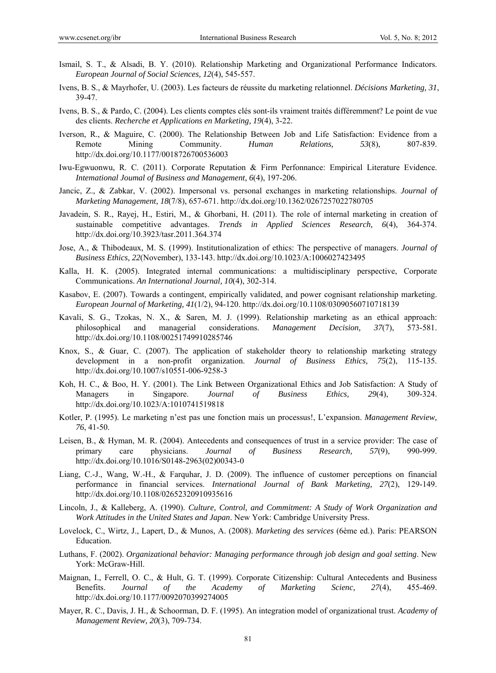- Ismail, S. T., & Alsadi, B. Y. (2010). Relationship Marketing and Organizational Performance Indicators. *European Journal of Social Sciences, 12*(4), 545-557.
- Ivens, B. S., & Mayrhofer, U. (2003). Les facteurs de réussite du marketing relationnel. *Décisions Marketing, 31*, 39-47.
- Ivens, B. S., & Pardo, C. (2004). Les clients comptes clés sont-ils vraiment traités différemment? Le point de vue des clients. *Recherche et Applications en Marketing, 19*(4), 3-22.
- Iverson, R., & Maguire, C. (2000). The Relationship Between Job and Life Satisfaction: Evidence from a Remote Mining Community. *Human Relations, 53*(8), 807-839. http://dx.doi.org/10.1177/0018726700536003
- Iwu-Egwuonwu, R. C. (2011). Corporate Reputation & Firm Perfonnance: Empirical Literature Evidence. *Intemational Joumal of Business and Management, 6*(4), 197-206.
- Jancic, Z., & Zabkar, V. (2002). Impersonal vs. personal exchanges in marketing relationships. *Journal of Marketing Management, 18*(7/8), 657-671. http://dx.doi.org/10.1362/0267257022780705
- Javadein, S. R., Rayej, H., Estiri, M., & Ghorbani, H. (2011). The role of internal marketing in creation of sustainable competitive advantages. *Trends in Applied Sciences Research, 6*(4), 364-374. http://dx.doi.org/10.3923/tasr.2011.364.374
- Jose, A., & Thibodeaux, M. S. (1999). Institutionalization of ethics: The perspective of managers. *Journal of Business Ethics, 22*(November), 133-143. http://dx.doi.org/10.1023/A:1006027423495
- Kalla, H. K. (2005). Integrated internal communications: a multidisciplinary perspective, Corporate Communications. *An International Journal, 10*(4), 302-314.
- Kasabov, E. (2007). Towards a contingent, empirically validated, and power cognisant relationship marketing. *European Journal of Marketing, 41*(1/2), 94-120. http://dx.doi.org/10.1108/03090560710718139
- Kavali, S. G., Tzokas, N. X., & Saren, M. J. (1999). Relationship marketing as an ethical approach: philosophical and managerial considerations. *Management Decision, 37*(7), 573-581. http://dx.doi.org/10.1108/00251749910285746
- Knox, S., & Guar, C. (2007). The application of stakeholder theory to relationship marketing strategy development in a non-profit organization. *Journal of Business Ethics, 75*(2), 115-135. http://dx.doi.org/10.1007/s10551-006-9258-3
- Koh, H. C., & Boo, H. Y. (2001). The Link Between Organizational Ethics and Job Satisfaction: A Study of Managers in Singapore. *Journal of Business Ethics, 29*(4), 309-324. http://dx.doi.org/10.1023/A:1010741519818
- Kotler, P. (1995). Le marketing n'est pas une fonction mais un processus!, L'expansion. *Management Review, 76*, 41-50.
- Leisen, B., & Hyman, M. R. (2004). Antecedents and consequences of trust in a service provider: The case of primary care physicians. *Journal of Business Research, 57*(9), 990-999. http://dx.doi.org/10.1016/S0148-2963(02)00343-0
- Liang, C.-J., Wang, W.-H., & Farquhar, J. D. (2009). The influence of customer perceptions on financial performance in financial services. *International Journal of Bank Marketing, 27*(2), 129-149. http://dx.doi.org/10.1108/02652320910935616
- Lincoln, J., & Kalleberg, A. (1990). *Culture, Control, and Commitment: A Study of Work Organization and Work Attitudes in the United States and Japan*. New York: Cambridge University Press.
- Lovelock, C., Wirtz, J., Lapert, D., & Munos, A. (2008). *Marketing des services* (6ème ed.). Paris: PEARSON Education.
- Luthans, F. (2002). *Organizational behavior: Managing performance through job design and goal setting*. New York: McGraw-Hill.
- Maignan, I., Ferrell, O. C., & Hult, G. T. (1999). Corporate Citizenship: Cultural Antecedents and Business Benefits. *Journal of the Academy of Marketing Scienc, 27*(4), 455-469. http://dx.doi.org/10.1177/0092070399274005
- Mayer, R. C., Davis, J. H., & Schoorman, D. F. (1995). An integration model of organizational trust. *Academy of Management Review, 20*(3), 709-734.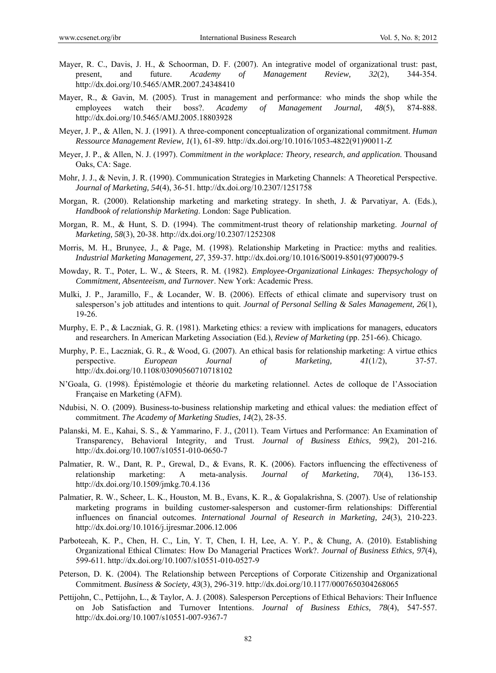- Mayer, R. C., Davis, J. H., & Schoorman, D. F. (2007). An integrative model of organizational trust: past, present, and future. *Academy of Management Review, 32*(2), 344-354. http://dx.doi.org/10.5465/AMR.2007.24348410
- Mayer, R., & Gavin, M. (2005). Trust in management and performance: who minds the shop while the employees watch their boss?. *Academy of Management Journal, 48*(5), 874-888. http://dx.doi.org/10.5465/AMJ.2005.18803928
- Meyer, J. P., & Allen, N. J. (1991). A three-component conceptualization of organizational commitment. *Human Ressource Management Review, 1*(1), 61-89. http://dx.doi.org/10.1016/1053-4822(91)90011-Z
- Meyer, J. P., & Allen, N. J. (1997). *Commitment in the workplace: Theory, research, and application*. Thousand Oaks, CA: Sage.
- Mohr, J. J., & Nevin, J. R. (1990). Communication Strategies in Marketing Channels: A Theoretical Perspective. *Journal of Marketing, 54*(4), 36-51. http://dx.doi.org/10.2307/1251758
- Morgan, R. (2000). Relationship marketing and marketing strategy. In sheth, J. & Parvatiyar, A. (Eds.), *Handbook of relationship Marketing*. London: Sage Publication.
- Morgan, R. M., & Hunt, S. D. (1994). The commitment-trust theory of relationship marketing. *Journal of Marketing, 58*(3), 20-38. http://dx.doi.org/10.2307/1252308
- Morris, M. H., Brunyee, J., & Page, M. (1998). Relationship Marketing in Practice: myths and realities. *Industrial Marketing Management, 27*, 359-37. http://dx.doi.org/10.1016/S0019-8501(97)00079-5
- Mowday, R. T., Poter, L. W., & Steers, R. M. (1982). *Employee-Organizational Linkages: Thepsychology of Commitment, Absenteeism, and Turnover*. New York: Academic Press.
- Mulki, J. P., Jaramillo, F., & Locander, W. B. (2006). Effects of ethical climate and supervisory trust on salesperson's job attitudes and intentions to quit. *Journal of Personal Selling & Sales Management, 26*(1), 19-26.
- Murphy, E. P., & Laczniak, G. R. (1981). Marketing ethics: a review with implications for managers, educators and researchers. In American Marketing Association (Ed.), *Review of Marketing* (pp. 251-66). Chicago.
- Murphy, P. E., Laczniak, G. R., & Wood, G. (2007). An ethical basis for relationship marketing: A virtue ethics perspective. *European Journal of Marketing, 41*(1/2), 37-57. http://dx.doi.org/10.1108/03090560710718102
- N'Goala, G. (1998). Épistémologie et théorie du marketing relationnel. Actes de colloque de l'Association Française en Marketing (AFM).
- Ndubisi, N. O. (2009). Business-to-business relationship marketing and ethical values: the mediation effect of commitment. *The Academy of Marketing Studies, 14*(2), 28-35.
- Palanski, M. E., Kahai, S. S., & Yammarino, F. J., (2011). Team Virtues and Performance: An Examination of Transparency, Behavioral Integrity, and Trust. *Journal of Business Ethics, 99*(2), 201-216. http://dx.doi.org/10.1007/s10551-010-0650-7
- Palmatier, R. W., Dant, R. P., Grewal, D., & Evans, R. K. (2006). Factors influencing the effectiveness of relationship marketing: A meta-analysis. *Journal of Marketing, 70*(4), 136-153. http://dx.doi.org/10.1509/jmkg.70.4.136
- Palmatier, R. W., Scheer, L. K., Houston, M. B., Evans, K. R., & Gopalakrishna, S. (2007). Use of relationship marketing programs in building customer-salesperson and customer-firm relationships: Differential influences on financial outcomes. *International Journal of Research in Marketing, 24*(3), 210-223. http://dx.doi.org/10.1016/j.ijresmar.2006.12.006
- Parboteeah, K. P., Chen, H. C., Lin, Y. T, Chen, I. H, Lee, A. Y. P., & Chung, A. (2010). Establishing Organizational Ethical Climates: How Do Managerial Practices Work?. *Journal of Business Ethics, 97*(4), 599-611. http://dx.doi.org/10.1007/s10551-010-0527-9
- Peterson, D. K. (2004). The Relationship between Perceptions of Corporate Citizenship and Organizational Commitment. *Business & Society, 43*(3), 296-319. http://dx.doi.org/10.1177/0007650304268065
- Pettijohn, C., Pettijohn, L., & Taylor, A. J. (2008). Salesperson Perceptions of Ethical Behaviors: Their Influence on Job Satisfaction and Turnover Intentions. *Journal of Business Ethics, 78*(4), 547-557. http://dx.doi.org/10.1007/s10551-007-9367-7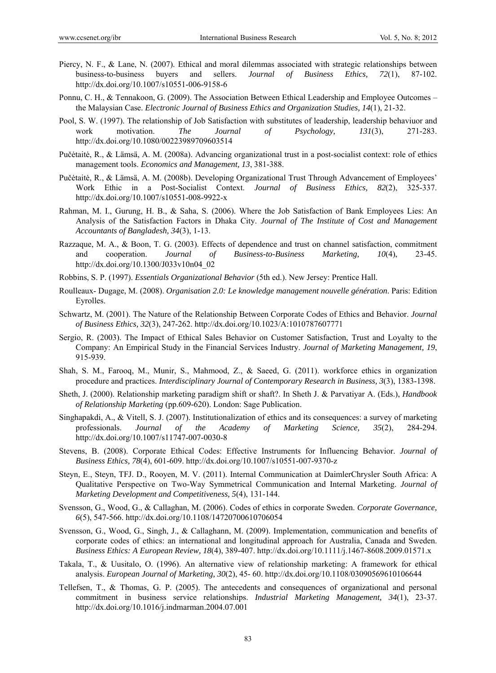- Piercy, N. F., & Lane, N. (2007). Ethical and moral dilemmas associated with strategic relationships between business-to-business buyers and sellers. *Journal of Business Ethics, 72*(1), 87-102. http://dx.doi.org/10.1007/s10551-006-9158-6
- Ponnu, C. H., & Tennakoon, G. (2009). The Association Between Ethical Leadership and Employee Outcomes the Malaysian Case. *Electronic Journal of Business Ethics and Organization Studies, 14*(1), 21-32.
- Pool, S. W. (1997). The relationship of Job Satisfaction with substitutes of leadership, leadership behaviuor and work motivation. *The Journal of Psychology, 131*(3), 271-283. http://dx.doi.org/10.1080/00223989709603514
- Pučėtaitė, R., & Lämsä, A. M. (2008a). Advancing organizational trust in a post-socialist context: role of ethics management tools. *Economics and Management, 13*, 381-388.
- Pučėtaitė, R., & Lämsä, A. M. (2008b). Developing Organizational Trust Through Advancement of Employees' Work Ethic in a Post-Socialist Context. *Journal of Business Ethics, 82*(2), 325-337. http://dx.doi.org/10.1007/s10551-008-9922-x
- Rahman, M. I., Gurung, H. B., & Saha, S. (2006). Where the Job Satisfaction of Bank Employees Lies: An Analysis of the Satisfaction Factors in Dhaka City. *Journal of The Institute of Cost and Management Accountants of Bangladesh, 34*(3), 1-13.
- Razzaque, M. A., & Boon, T. G. (2003). Effects of dependence and trust on channel satisfaction, commitment and cooperation. *Journal of Business-to-Business Marketing, 10*(4), 23-45. http://dx.doi.org/10.1300/J033v10n04\_02
- Robbins, S. P. (1997). *Essentials Organizational Behavior* (5th ed.). New Jersey: Prentice Hall.
- Roulleaux- Dugage, M. (2008). *Organisation 2.0: Le knowledge management nouvelle génération*. Paris: Edition Eyrolles.
- Schwartz, M. (2001). The Nature of the Relationship Between Corporate Codes of Ethics and Behavior. *Journal of Business Ethics, 32*(3), 247-262. http://dx.doi.org/10.1023/A:1010787607771
- Sergio, R. (2003). The Impact of Ethical Sales Behavior on Customer Satisfaction, Trust and Loyalty to the Company: An Empirical Study in the Financial Services Industry. *Journal of Marketing Management, 19*, 915-939.
- Shah, S. M., Farooq, M., Munir, S., Mahmood, Z., & Saeed, G. (2011). workforce ethics in organization procedure and practices. *Interdisciplinary Journal of Contemporary Research in Business, 3*(3), 1383-1398.
- Sheth, J. (2000). Relationship marketing paradigm shift or shaft?. In Sheth J. & Parvatiyar A. (Eds.), *Handbook of Relationship Marketing* (pp.609-620). London: Sage Publication.
- Singhapakdi, A., & Vitell, S. J. (2007). Institutionalization of ethics and its consequences: a survey of marketing professionals. *Journal of the Academy of Marketing Science, 35*(2), 284-294. http://dx.doi.org/10.1007/s11747-007-0030-8
- Stevens, B. (2008). Corporate Ethical Codes: Effective Instruments for Influencing Behavior. *Journal of Business Ethics, 78*(4), 601-609. http://dx.doi.org/10.1007/s10551-007-9370-z
- Steyn, E., Steyn, TFJ. D., Rooyen, M. V. (2011). Internal Communication at DaimlerChrysler South Africa: A Qualitative Perspective on Two-Way Symmetrical Communication and Internal Marketing. *Journal of Marketing Development and Competitiveness, 5*(4), 131-144.
- Svensson, G., Wood, G., & Callaghan, M. (2006). Codes of ethics in corporate Sweden. *Corporate Governance, 6*(5), 547-566. http://dx.doi.org/10.1108/14720700610706054
- Svensson, G., Wood, G., Singh, J., & Callaghann, M. (2009). Implementation, communication and benefits of corporate codes of ethics: an international and longitudinal approach for Australia, Canada and Sweden. *Business Ethics: A European Review, 18*(4), 389-407. http://dx.doi.org/10.1111/j.1467-8608.2009.01571.x
- Takala, T., & Uusitalo, O. (1996). An alternative view of relationship marketing: A framework for ethical analysis. *European Journal of Marketing, 30*(2), 45- 60. http://dx.doi.org/10.1108/03090569610106644
- Tellefsen, T., & Thomas, G. P. (2005). The antecedents and consequences of organizational and personal commitment in business service relationships. *Industrial Marketing Management, 34*(1), 23-37. http://dx.doi.org/10.1016/j.indmarman.2004.07.001